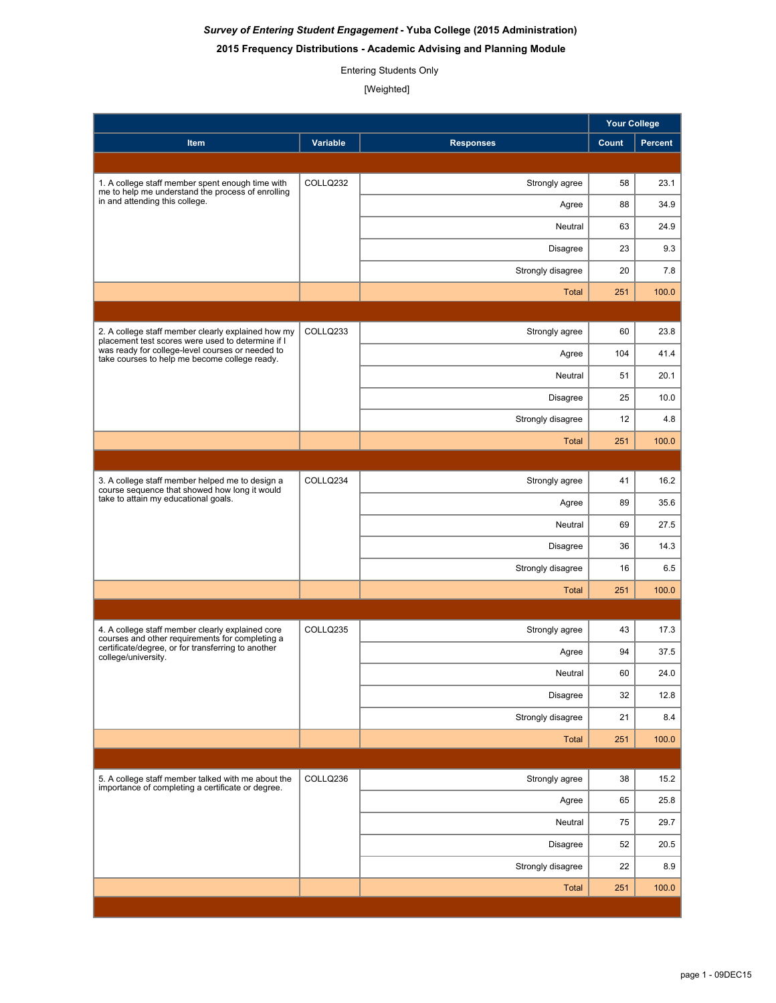# *Survey of Entering Student Engagement* **- Yuba College (2015 Administration)**

## **2015 Frequency Distributions - Academic Advising and Planning Module**

## Entering Students Only

[Weighted]

|                                                                                                                                                                                  |          |                   | <b>Your College</b> |         |
|----------------------------------------------------------------------------------------------------------------------------------------------------------------------------------|----------|-------------------|---------------------|---------|
| Item                                                                                                                                                                             | Variable | <b>Responses</b>  | Count               | Percent |
|                                                                                                                                                                                  |          |                   |                     |         |
| 1. A college staff member spent enough time with<br>me to help me understand the process of enrolling<br>in and attending this college.                                          | COLLQ232 | Strongly agree    | 58                  | 23.1    |
|                                                                                                                                                                                  |          | Agree             | 88                  | 34.9    |
|                                                                                                                                                                                  |          | Neutral           | 63                  | 24.9    |
|                                                                                                                                                                                  |          | Disagree          | 23                  | 9.3     |
|                                                                                                                                                                                  |          | Strongly disagree | 20                  | 7.8     |
|                                                                                                                                                                                  |          | <b>Total</b>      | 251                 | 100.0   |
|                                                                                                                                                                                  |          |                   |                     |         |
| 2. A college staff member clearly explained how my<br>placement test scores were used to determine if I                                                                          | COLLQ233 | Strongly agree    | 60                  | 23.8    |
| was ready for college-level courses or needed to<br>take courses to help me become college ready.                                                                                |          | Agree             | 104                 | 41.4    |
|                                                                                                                                                                                  |          | Neutral           | 51                  | 20.1    |
|                                                                                                                                                                                  |          | Disagree          | 25                  | 10.0    |
|                                                                                                                                                                                  |          | Strongly disagree | 12                  | 4.8     |
|                                                                                                                                                                                  |          | <b>Total</b>      | 251                 | 100.0   |
|                                                                                                                                                                                  |          |                   |                     |         |
| 3. A college staff member helped me to design a<br>course sequence that showed how long it would                                                                                 | COLLQ234 | Strongly agree    | 41                  | 16.2    |
| take to attain my educational goals.                                                                                                                                             |          | Agree             | 89                  | 35.6    |
|                                                                                                                                                                                  |          | Neutral           | 69                  | 27.5    |
|                                                                                                                                                                                  |          | Disagree          | 36                  | 14.3    |
|                                                                                                                                                                                  |          | Strongly disagree | 16                  | 6.5     |
|                                                                                                                                                                                  |          | <b>Total</b>      | 251                 | 100.0   |
|                                                                                                                                                                                  |          |                   |                     |         |
| 4. A college staff member clearly explained core<br>courses and other requirements for completing a<br>certificate/degree, or for transferring to another<br>college/university. | COLLQ235 | Strongly agree    | 43                  | 17.3    |
|                                                                                                                                                                                  |          | Agree             | 94                  | 37.5    |
|                                                                                                                                                                                  |          | Neutral           | 60                  | 24.0    |
|                                                                                                                                                                                  |          | Disagree          | 32                  | 12.8    |
|                                                                                                                                                                                  |          | Strongly disagree | 21                  | 8.4     |
|                                                                                                                                                                                  |          | Total             | 251                 | 100.0   |
|                                                                                                                                                                                  |          |                   |                     |         |
| 5. A college staff member talked with me about the<br>importance of completing a certificate or degree.                                                                          | COLLQ236 | Strongly agree    | 38                  | 15.2    |
|                                                                                                                                                                                  |          | Agree             | 65                  | 25.8    |
|                                                                                                                                                                                  |          | Neutral           | 75                  | 29.7    |
|                                                                                                                                                                                  |          | Disagree          | 52                  | 20.5    |
|                                                                                                                                                                                  |          | Strongly disagree | 22                  | 8.9     |
|                                                                                                                                                                                  |          | <b>Total</b>      | 251                 | 100.0   |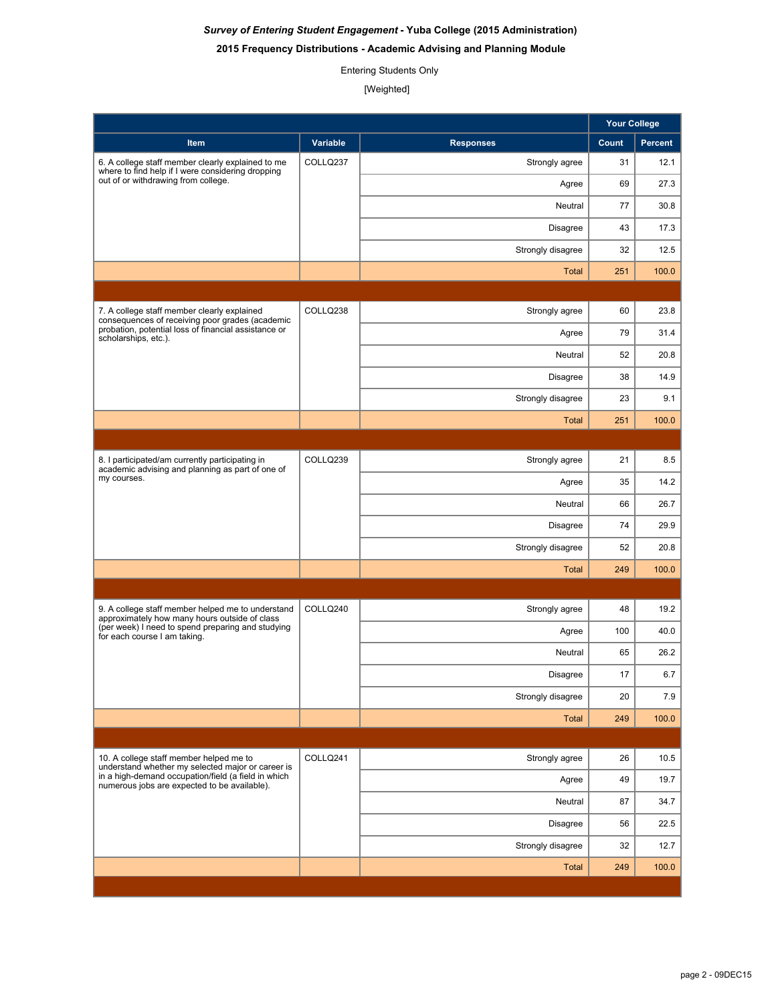# *Survey of Entering Student Engagement* **- Yuba College (2015 Administration)**

## **2015 Frequency Distributions - Academic Advising and Planning Module**

## Entering Students Only

[Weighted]

|                                                                                                                                                                                                     |          |                   | <b>Your College</b> |         |
|-----------------------------------------------------------------------------------------------------------------------------------------------------------------------------------------------------|----------|-------------------|---------------------|---------|
| <b>Item</b>                                                                                                                                                                                         | Variable | <b>Responses</b>  | Count               | Percent |
| 6. A college staff member clearly explained to me<br>where to find help if I were considering dropping<br>out of or withdrawing from college.                                                       | COLLQ237 | Strongly agree    | 31                  | 12.1    |
|                                                                                                                                                                                                     |          | Agree             | 69                  | 27.3    |
|                                                                                                                                                                                                     |          | Neutral           | 77                  | 30.8    |
|                                                                                                                                                                                                     |          | Disagree          | 43                  | 17.3    |
|                                                                                                                                                                                                     |          | Strongly disagree | 32                  | 12.5    |
|                                                                                                                                                                                                     |          | <b>Total</b>      | 251                 | 100.0   |
|                                                                                                                                                                                                     |          |                   |                     |         |
| 7. A college staff member clearly explained<br>consequences of receiving poor grades (academic                                                                                                      | COLLQ238 | Strongly agree    | 60                  | 23.8    |
| probation, potential loss of financial assistance or<br>scholarships, etc.).                                                                                                                        |          | Agree             | 79                  | 31.4    |
|                                                                                                                                                                                                     |          | Neutral           | 52                  | 20.8    |
|                                                                                                                                                                                                     |          | Disagree          | 38                  | 14.9    |
|                                                                                                                                                                                                     |          | Strongly disagree | 23                  | 9.1     |
|                                                                                                                                                                                                     |          | <b>Total</b>      | 251                 | 100.0   |
|                                                                                                                                                                                                     |          |                   |                     |         |
| 8. I participated/am currently participating in<br>academic advising and planning as part of one of                                                                                                 | COLLQ239 | Strongly agree    | 21                  | 8.5     |
| my courses.                                                                                                                                                                                         |          | Agree             | 35                  | 14.2    |
|                                                                                                                                                                                                     |          | Neutral           | 66                  | 26.7    |
|                                                                                                                                                                                                     |          | Disagree          | 74                  | 29.9    |
|                                                                                                                                                                                                     |          | Strongly disagree | 52                  | 20.8    |
|                                                                                                                                                                                                     |          | <b>Total</b>      | 249                 | 100.0   |
|                                                                                                                                                                                                     |          |                   |                     |         |
| 9. A college staff member helped me to understand<br>approximately how many hours outside of class                                                                                                  | COLLQ240 | Strongly agree    | 48                  | 19.2    |
| (per week) I need to spend preparing and studying<br>for each course I am taking.                                                                                                                   |          | Agree             | 100                 | 40.0    |
|                                                                                                                                                                                                     |          | Neutral           | 65                  | 26.2    |
|                                                                                                                                                                                                     |          | Disagree          | 17                  | 6.7     |
|                                                                                                                                                                                                     |          | Strongly disagree | 20                  | 7.9     |
|                                                                                                                                                                                                     |          | Total             | 249                 | 100.0   |
|                                                                                                                                                                                                     |          |                   |                     |         |
| 10. A college staff member helped me to<br>understand whether my selected major or career is<br>in a high-demand occupation/field (a field in which<br>numerous jobs are expected to be available). | COLLQ241 | Strongly agree    | 26                  | 10.5    |
|                                                                                                                                                                                                     |          | Agree             | 49                  | 19.7    |
|                                                                                                                                                                                                     |          | Neutral           | 87                  | 34.7    |
|                                                                                                                                                                                                     |          | Disagree          | 56                  | 22.5    |
|                                                                                                                                                                                                     |          | Strongly disagree | 32                  | 12.7    |
|                                                                                                                                                                                                     |          | Total             | 249                 | 100.0   |